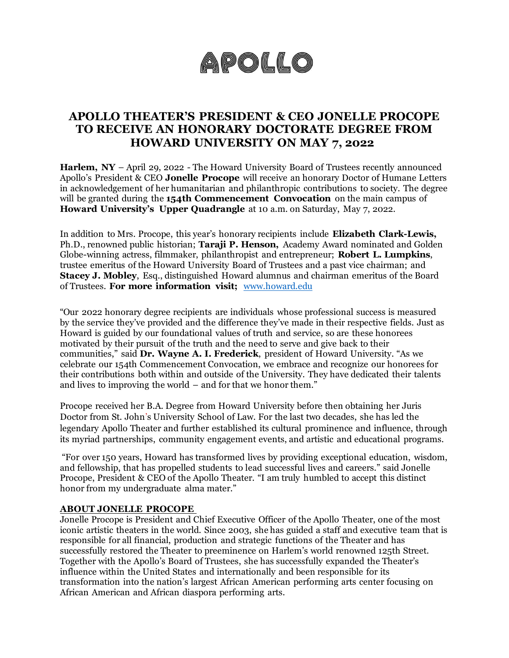# APOLLO

### **APOLLO THEATER'S PRESIDENT & CEO JONELLE PROCOPE TO RECEIVE AN HONORARY DOCTORATE DEGREE FROM HOWARD UNIVERSITY ON MAY 7, 2022**

**Harlem, NY** – April 29, 2022 - The Howard University Board of Trustees recently announced Apollo's President & CEO **Jonelle Procope** will receive an honorary Doctor of Humane Letters in acknowledgement of her humanitarian and philanthropic contributions to society. The degree will be granted during the **154th Commencement Convocation** on the main campus of **Howard University's Upper Quadrangle** at 10 a.m. on Saturday, May 7, 2022.

In addition to Mrs. Procope, this year's honorary recipients include **Elizabeth Clark-Lewis,** Ph.D., renowned public historian; **Taraji P. Henson,** Academy Award nominated and Golden Globe-winning actress, filmmaker, philanthropist and entrepreneur; **Robert L. Lumpkins**, trustee emeritus of the Howard University Board of Trustees and a past vice chairman; and **Stacey J. Mobley**, Esq., distinguished Howard alumnus and chairman emeritus of the Board of Trustees. **For more information visit;** [www.howard.edu](http://www.howard.edu/) 

"Our 2022 honorary degree recipients are individuals whose professional success is measured by the service they've provided and the difference they've made in their respective fields. Just as Howard is guided by our foundational values of truth and service, so are these honorees motivated by their pursuit of the truth and the need to serve and give back to their communities," said **Dr. Wayne A. I. Frederick**, president of Howard University. "As we celebrate our 154th Commencement Convocation, we embrace and recognize our honorees for their contributions both within and outside of the University. They have dedicated their talents and lives to improving the world – and for that we honor them."

Procope received her B.A. Degree from Howard University before then obtaining her Juris Doctor from St. John's University School of Law. For the last two decades, she has led the legendary Apollo Theater and further established its cultural prominence and influence, through its myriad partnerships, community engagement events, and artistic and educational programs.

"For over 150 years, Howard has transformed lives by providing exceptional education, wisdom, and fellowship, that has propelled students to lead successful lives and careers." said Jonelle Procope, President & CEO of the Apollo Theater. "I am truly humbled to accept this distinct honor from my undergraduate alma mater."

#### **ABOUT JONELLE PROCOPE**

Jonelle Procope is President and Chief Executive Officer of the Apollo Theater, one of the most iconic artistic theaters in the world. Since 2003, she has guided a staff and executive team that is responsible for all financial, production and strategic functions of the Theater and has successfully restored the Theater to preeminence on Harlem's world renowned 125th Street. Together with the Apollo's Board of Trustees, she has successfully expanded the Theater's influence within the United States and internationally and been responsible for its transformation into the nation's largest African American performing arts center focusing on African American and African diaspora performing arts.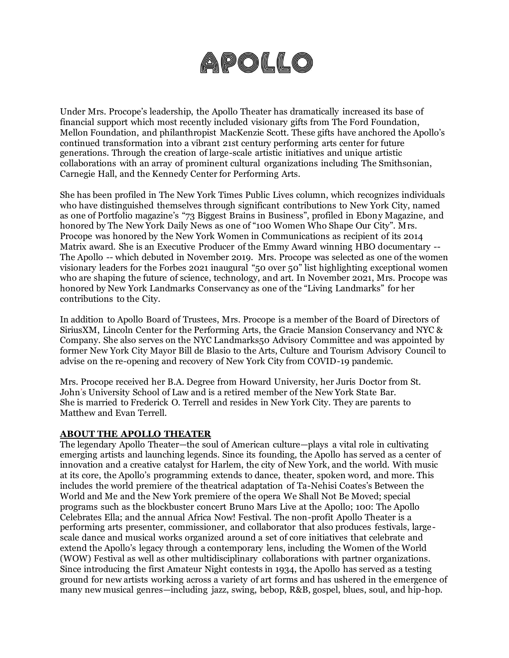# APOLLO

Under Mrs. Procope's leadership, the Apollo Theater has dramatically increased its base of financial support which most recently included visionary gifts from The Ford Foundation, Mellon Foundation, and philanthropist MacKenzie Scott. These gifts have anchored the Apollo's continued transformation into a vibrant 21st century performing arts center for future generations. Through the creation of large-scale artistic initiatives and unique artistic collaborations with an array of prominent cultural organizations including The Smithsonian, Carnegie Hall, and the Kennedy Center for Performing Arts.

She has been profiled in The New York Times Public Lives column, which recognizes individuals who have distinguished themselves through significant contributions to New York City, named as one of Portfolio magazine's "73 Biggest Brains in Business", profiled in Ebony Magazine, and honored by The New York Daily News as one of "100 Women Who Shape Our City". Mrs. Procope was honored by the New York Women in Communications as recipient of its 2014 Matrix award. She is an Executive Producer of the Emmy Award winning HBO documentary -- The Apollo -- which debuted in November 2019. Mrs. Procope was selected as one of the women visionary leaders for the Forbes 2021 inaugural "50 over 50" list highlighting exceptional women who are shaping the future of science, technology, and art. In November 2021, Mrs. Procope was honored by New York Landmarks Conservancy as one of the "Living Landmarks" for her contributions to the City.

In addition to Apollo Board of Trustees, Mrs. Procope is a member of the Board of Directors of SiriusXM, Lincoln Center for the Performing Arts, the Gracie Mansion Conservancy and NYC & Company. She also serves on the NYC Landmarks50 Advisory Committee and was appointed by former New York City Mayor Bill de Blasio to the Arts, Culture and Tourism Advisory Council to advise on the re-opening and recovery of New York City from COVID-19 pandemic.

Mrs. Procope received her B.A. Degree from Howard University, her Juris Doctor from St. John's University School of Law and is a retired member of the New York State Bar. She is married to Frederick O. Terrell and resides in New York City. They are parents to Matthew and Evan Terrell.

#### **ABOUT THE APOLLO THEATER**

The legendary Apollo Theater—the soul of American culture—plays a vital role in cultivating emerging artists and launching legends. Since its founding, the Apollo has served as a center of innovation and a creative catalyst for Harlem, the city of New York, and the world. With music at its core, the Apollo's programming extends to dance, theater, spoken word, and more. This includes the world premiere of the theatrical adaptation of Ta-Nehisi Coates's Between the World and Me and the New York premiere of the opera We Shall Not Be Moved; special programs such as the blockbuster concert Bruno Mars Live at the Apollo; 100: The Apollo Celebrates Ella; and the annual Africa Now! Festival. The non-profit Apollo Theater is a performing arts presenter, commissioner, and collaborator that also produces festivals, largescale dance and musical works organized around a set of core initiatives that celebrate and extend the Apollo's legacy through a contemporary lens, including the Women of the World (WOW) Festival as well as other multidisciplinary collaborations with partner organizations. Since introducing the first Amateur Night contests in 1934, the Apollo has served as a testing ground for new artists working across a variety of art forms and has ushered in the emergence of many new musical genres—including jazz, swing, bebop, R&B, gospel, blues, soul, and hip-hop.